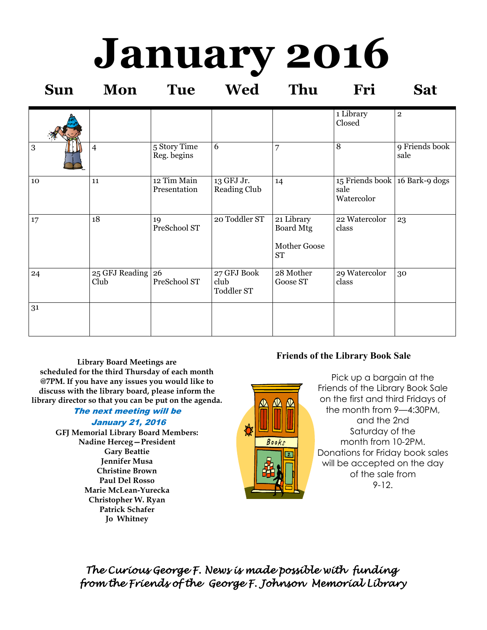# **January 2016**

| <b>Sun</b> | Mon                           | <b>Tue</b>                  | Wed                                      | Thu                                                         | Fri                                                  | <b>Sat</b>              |
|------------|-------------------------------|-----------------------------|------------------------------------------|-------------------------------------------------------------|------------------------------------------------------|-------------------------|
|            |                               |                             |                                          |                                                             | 1 Library<br>Closed                                  | $\overline{\mathbf{2}}$ |
| 3          | $\overline{4}$                | 5 Story Time<br>Reg. begins | 6                                        | 7                                                           | 8                                                    | 9 Friends book<br>sale  |
| 10         | 11                            | 12 Tim Main<br>Presentation | 13 GFJ Jr.<br><b>Reading Club</b>        | 14                                                          | 15 Friends book 16 Bark-9 dogs<br>sale<br>Watercolor |                         |
| 17         | 18                            | 19<br>PreSchool ST          | 20 Toddler ST                            | 21 Library<br><b>Board Mtg</b><br>Mother Goose<br><b>ST</b> | 22 Watercolor<br>class                               | 23                      |
| 24         | $25$ GFJ Reading $26$<br>Club | PreSchool ST                | 27 GFJ Book<br>club<br><b>Toddler ST</b> | 28 Mother<br>Goose ST                                       | 29 Watercolor<br>class                               | 30                      |
| 31         |                               |                             |                                          |                                                             |                                                      |                         |

**Library Board Meetings are scheduled for the third Thursday of each month @7PM. If you have any issues you would like to discuss with the library board, please inform the library director so that you can be put on the agenda.** 

## The next meeting will be

#### January 21, 2016

**GFJ Memorial Library Board Members: Nadine Herceg—President Gary Beattie Jennifer Musa Christine Brown Paul Del Rosso Marie McLean-Yurecka Christopher W. Ryan Patrick Schafer Jo Whitney**

## **Friends of the Library Book Sale**

Pick up a bargain at the Friends of the Library Book Sale on the first and third Fridays of the month from 9—4:30PM, and the 2nd Saturday of the month from 10-2PM. Donations for Friday book sales will be accepted on the day of the sale from 9-12.

*The Curious George F. News is made possible with funding from the Friends of the George F. Johnson Memorial Library* 

₩

 $\bigcirc$   $\bigcirc$   $\bigcirc$ 

Books